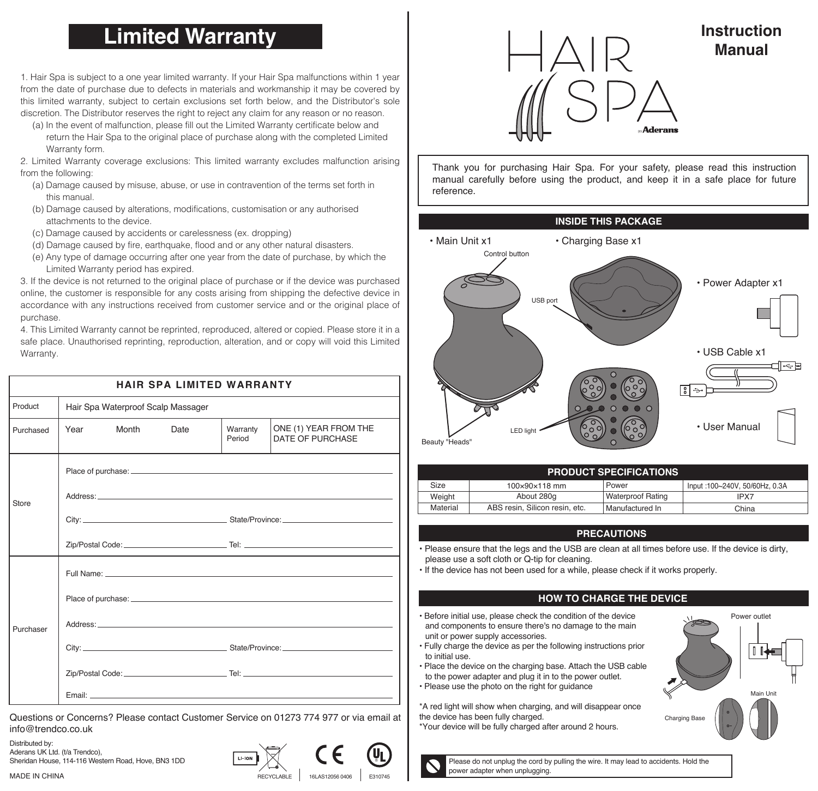# **Limited Warranty**

1. Hair Spa is subject to a one year limited warranty. If your Hair Spa malfunctions within 1 year from the date of purchase due to defects in materials and workmanship it may be covered by this limited warranty, subject to certain exclusions set forth below, and the Distributor's sole discretion. The Distributor reserves the right to reject any claim for any reason or no reason.

 (a) In the event of malfunction, please fill out the Limited Warranty certificate below and return the Hair Spa to the original place of purchase along with the completed Limited Warranty form.

2. Limited Warranty coverage exclusions: This limited warranty excludes malfunction arising from the following:

- (a) Damage caused by misuse, abuse, or use in contravention of the terms set forth in this manual.
- (b) Damage caused by alterations, modifications, customisation or any authorised attachments to the device.
- (c) Damage caused by accidents or carelessness (ex. dropping)
- (d) Damage caused by fire, earthquake, flood and or any other natural disasters.
- (e) Any type of damage occurring after one year from the date of purchase, by which the Limited Warranty period has expired.

3. If the device is not returned to the original place of purchase or if the device was purchased online, the customer is responsible for any costs arising from shipping the defective device in accordance with any instructions received from customer service and or the original place of purchase.

4. This Limited Warranty cannot be reprinted, reproduced, altered or copied. Please store it in a safe place. Unauthorised reprinting, reproduction, alteration, and or copy will void this Limited Warranty.

| <b>HAIR SPA LIMITED WARRANTY</b> |                                    |      |                    |                                           |  |  |
|----------------------------------|------------------------------------|------|--------------------|-------------------------------------------|--|--|
| Product                          | Hair Spa Waterproof Scalp Massager |      |                    |                                           |  |  |
| Purchased                        | Year<br>Month                      | Date | Warranty<br>Period | ONE (1) YEAR FROM THE<br>DATE OF PURCHASE |  |  |
| Store                            |                                    |      |                    |                                           |  |  |
| Purchaser                        |                                    |      |                    |                                           |  |  |

Questions or Concerns? Please contact Customer Service on 01273 774 977 or via email at info@trendco.co.uk

Distributed by: Aderans UK Ltd. (t/a Trendco), Sheridan House, 114-116 Western Road, Hove, BN3 1DD

MADE IN CHINA





**Instruction Manual**

Thank you for purchasing Hair Spa. For your safety, please read this instruction manual carefully before using the product, and keep it in a safe place for future reference.



| <b>PRODUCT SPECIFICATIONS</b> |                                |                          |                               |  |  |
|-------------------------------|--------------------------------|--------------------------|-------------------------------|--|--|
| Size                          | $100\times90\times118$ mm      | Power                    | Input:100~240V, 50/60Hz, 0.3A |  |  |
| Weight                        | About 280g                     | <b>Waterproof Rating</b> | IPX7                          |  |  |
| Material                      | ABS resin. Silicon resin. etc. | Manufactured In          | China                         |  |  |

#### **PRECAUTIONS**

• Please ensure that the legs and the USB are clean at all times before use. If the device is dirty, please use a soft cloth or Q-tip for cleaning.

• If the device has not been used for a while, please check if it works properly.

#### **HOW TO CHARGE THE DEVICE**

• Before initial use, please check the condition of the device and components to ensure there's no damage to the main unit or power supply accessories.

• Fully charge the device as per the following instructions prior to initial use.

- Place the device on the charging base. Attach the USB cable to the power adapter and plug it in to the power outlet.
- Please use the photo on the right for guidance

\*A red light will show when charging, and will disappear once the device has been fully charged.

\*Your device will be fully charged after around 2 hours.



Please do not unplug the cord by pulling the wire. It may lead to accidents. Hold the power adapter when unplugging.